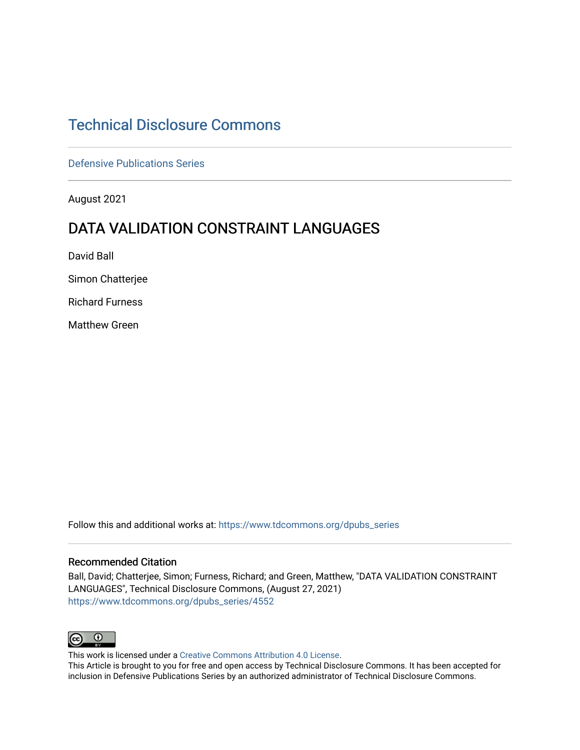# [Technical Disclosure Commons](https://www.tdcommons.org/)

[Defensive Publications Series](https://www.tdcommons.org/dpubs_series)

August 2021

# DATA VALIDATION CONSTRAINT LANGUAGES

David Ball

Simon Chatterjee

Richard Furness

Matthew Green

Follow this and additional works at: [https://www.tdcommons.org/dpubs\\_series](https://www.tdcommons.org/dpubs_series?utm_source=www.tdcommons.org%2Fdpubs_series%2F4552&utm_medium=PDF&utm_campaign=PDFCoverPages) 

### Recommended Citation

Ball, David; Chatterjee, Simon; Furness, Richard; and Green, Matthew, "DATA VALIDATION CONSTRAINT LANGUAGES", Technical Disclosure Commons, (August 27, 2021) [https://www.tdcommons.org/dpubs\\_series/4552](https://www.tdcommons.org/dpubs_series/4552?utm_source=www.tdcommons.org%2Fdpubs_series%2F4552&utm_medium=PDF&utm_campaign=PDFCoverPages)



This work is licensed under a [Creative Commons Attribution 4.0 License](http://creativecommons.org/licenses/by/4.0/deed.en_US).

This Article is brought to you for free and open access by Technical Disclosure Commons. It has been accepted for inclusion in Defensive Publications Series by an authorized administrator of Technical Disclosure Commons.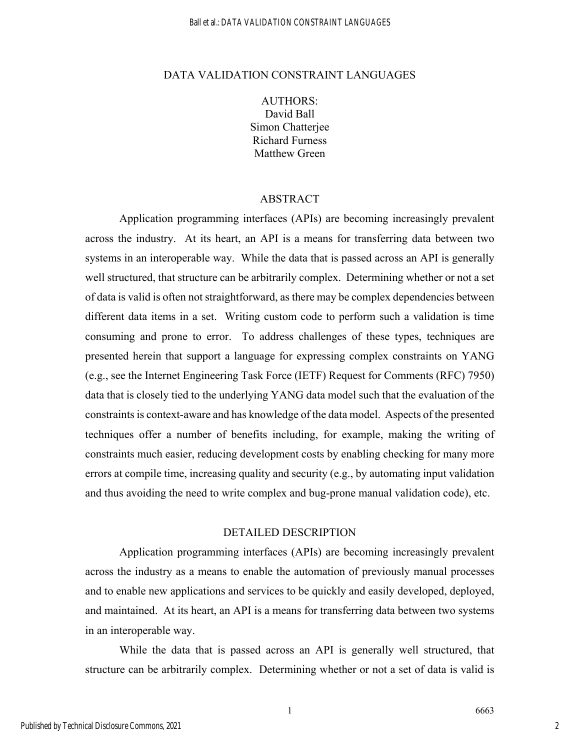#### Ball et al.: DATA VALIDATION CONSTRAINT LANGUAGES

### DATA VALIDATION CONSTRAINT LANGUAGES

AUTHORS: David Ball Simon Chatterjee Richard Furness Matthew Green

## ABSTRACT

Application programming interfaces (APIs) are becoming increasingly prevalent across the industry. At its heart, an API is a means for transferring data between two systems in an interoperable way. While the data that is passed across an API is generally well structured, that structure can be arbitrarily complex. Determining whether or not a set of data is valid is often not straightforward, as there may be complex dependencies between different data items in a set. Writing custom code to perform such a validation is time consuming and prone to error. To address challenges of these types, techniques are presented herein that support a language for expressing complex constraints on YANG (e.g., see the Internet Engineering Task Force (IETF) Request for Comments (RFC) 7950) data that is closely tied to the underlying YANG data model such that the evaluation of the constraints is context-aware and has knowledge of the data model. Aspects of the presented techniques offer a number of benefits including, for example, making the writing of constraints much easier, reducing development costs by enabling checking for many more errors at compile time, increasing quality and security (e.g., by automating input validation and thus avoiding the need to write complex and bug-prone manual validation code), etc.

## DETAILED DESCRIPTION

Application programming interfaces (APIs) are becoming increasingly prevalent across the industry as a means to enable the automation of previously manual processes and to enable new applications and services to be quickly and easily developed, deployed, and maintained. At its heart, an API is a means for transferring data between two systems in an interoperable way.

While the data that is passed across an API is generally well structured, that structure can be arbitrarily complex. Determining whether or not a set of data is valid is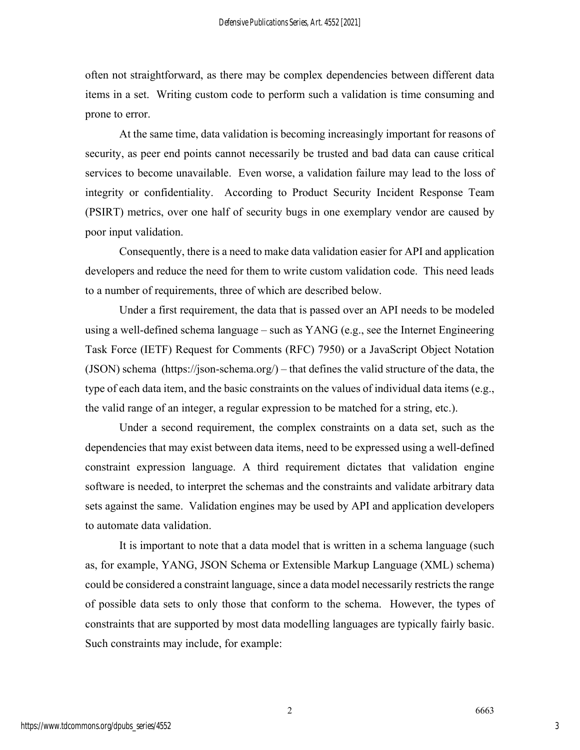often not straightforward, as there may be complex dependencies between different data items in a set. Writing custom code to perform such a validation is time consuming and prone to error.

At the same time, data validation is becoming increasingly important for reasons of security, as peer end points cannot necessarily be trusted and bad data can cause critical services to become unavailable. Even worse, a validation failure may lead to the loss of integrity or confidentiality. According to Product Security Incident Response Team (PSIRT) metrics, over one half of security bugs in one exemplary vendor are caused by poor input validation.

Consequently, there is a need to make data validation easier for API and application developers and reduce the need for them to write custom validation code. This need leads to a number of requirements, three of which are described below.

Under a first requirement, the data that is passed over an API needs to be modeled using a well-defined schema language – such as YANG (e.g., see the Internet Engineering Task Force (IETF) Request for Comments (RFC) 7950) or a JavaScript Object Notation (JSON) schema (https://json-schema.org/) – that defines the valid structure of the data, the type of each data item, and the basic constraints on the values of individual data items (e.g., the valid range of an integer, a regular expression to be matched for a string, etc.).

Under a second requirement, the complex constraints on a data set, such as the dependencies that may exist between data items, need to be expressed using a well-defined constraint expression language. A third requirement dictates that validation engine software is needed, to interpret the schemas and the constraints and validate arbitrary data sets against the same. Validation engines may be used by API and application developers to automate data validation.

It is important to note that a data model that is written in a schema language (such as, for example, YANG, JSON Schema or Extensible Markup Language (XML) schema) could be considered a constraint language, since a data model necessarily restricts the range of possible data sets to only those that conform to the schema. However, the types of constraints that are supported by most data modelling languages are typically fairly basic. Such constraints may include, for example: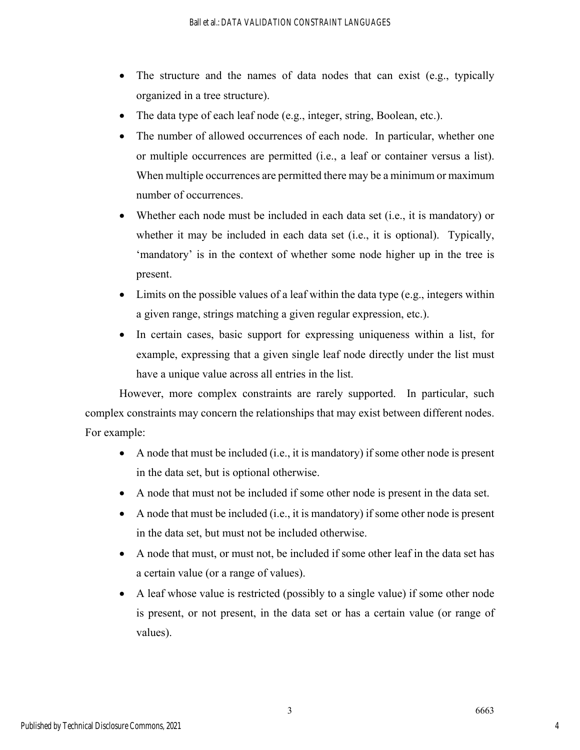- The structure and the names of data nodes that can exist (e.g., typically organized in a tree structure).
- The data type of each leaf node (e.g., integer, string, Boolean, etc.).
- The number of allowed occurrences of each node. In particular, whether one or multiple occurrences are permitted (i.e., a leaf or container versus a list). When multiple occurrences are permitted there may be a minimum or maximum number of occurrences.
- Whether each node must be included in each data set (i.e., it is mandatory) or whether it may be included in each data set (i.e., it is optional). Typically, 'mandatory' is in the context of whether some node higher up in the tree is present.
- $\bullet$  Limits on the possible values of a leaf within the data type (e.g., integers within a given range, strings matching a given regular expression, etc.).
- In certain cases, basic support for expressing uniqueness within a list, for example, expressing that a given single leaf node directly under the list must have a unique value across all entries in the list.

However, more complex constraints are rarely supported. In particular, such complex constraints may concern the relationships that may exist between different nodes. For example:

- A node that must be included (i.e., it is mandatory) if some other node is present in the data set, but is optional otherwise.
- A node that must not be included if some other node is present in the data set.
- A node that must be included (i.e., it is mandatory) if some other node is present in the data set, but must not be included otherwise.
- A node that must, or must not, be included if some other leaf in the data set has a certain value (or a range of values).
- A leaf whose value is restricted (possibly to a single value) if some other node is present, or not present, in the data set or has a certain value (or range of values).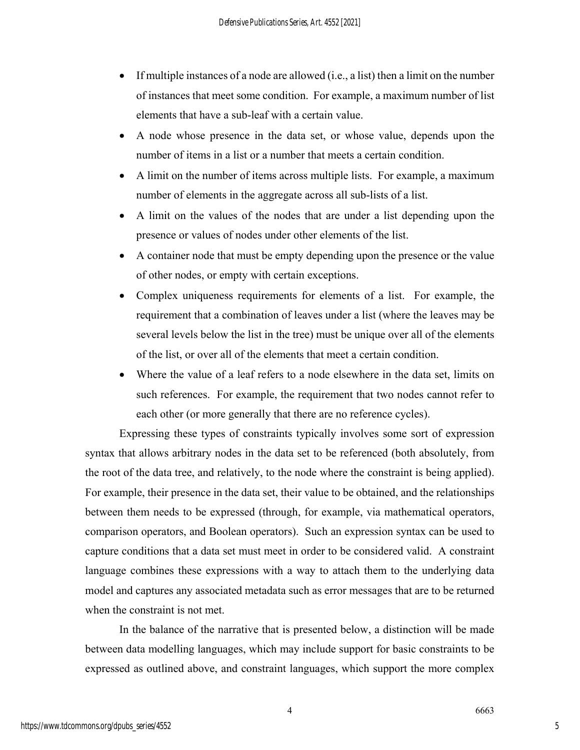- If multiple instances of a node are allowed (i.e., a list) then a limit on the number of instances that meet some condition. For example, a maximum number of list elements that have a sub-leaf with a certain value.
- A node whose presence in the data set, or whose value, depends upon the number of items in a list or a number that meets a certain condition.
- A limit on the number of items across multiple lists. For example, a maximum number of elements in the aggregate across all sub-lists of a list.
- A limit on the values of the nodes that are under a list depending upon the presence or values of nodes under other elements of the list.
- A container node that must be empty depending upon the presence or the value of other nodes, or empty with certain exceptions.
- Complex uniqueness requirements for elements of a list. For example, the requirement that a combination of leaves under a list (where the leaves may be several levels below the list in the tree) must be unique over all of the elements of the list, or over all of the elements that meet a certain condition.
- Where the value of a leaf refers to a node elsewhere in the data set, limits on such references. For example, the requirement that two nodes cannot refer to each other (or more generally that there are no reference cycles).

Expressing these types of constraints typically involves some sort of expression syntax that allows arbitrary nodes in the data set to be referenced (both absolutely, from the root of the data tree, and relatively, to the node where the constraint is being applied). For example, their presence in the data set, their value to be obtained, and the relationships between them needs to be expressed (through, for example, via mathematical operators, comparison operators, and Boolean operators). Such an expression syntax can be used to capture conditions that a data set must meet in order to be considered valid. A constraint language combines these expressions with a way to attach them to the underlying data model and captures any associated metadata such as error messages that are to be returned when the constraint is not met.

In the balance of the narrative that is presented below, a distinction will be made between data modelling languages, which may include support for basic constraints to be expressed as outlined above, and constraint languages, which support the more complex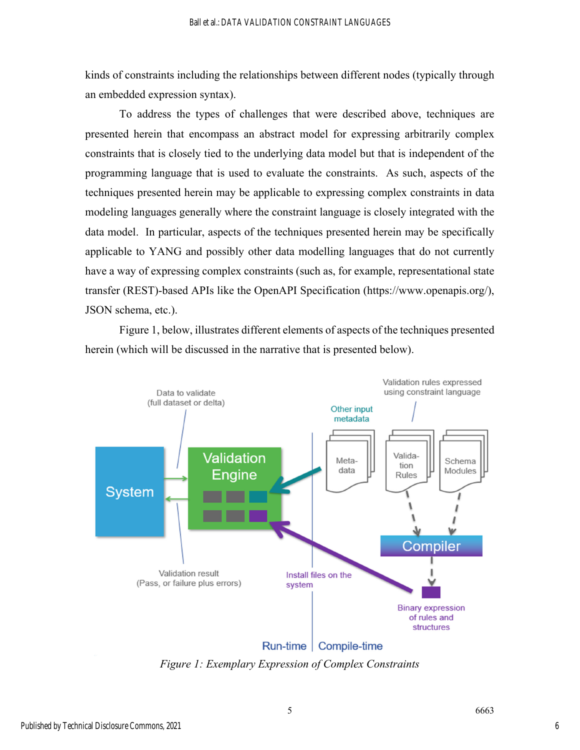kinds of constraints including the relationships between different nodes (typically through an embedded expression syntax).

To address the types of challenges that were described above, techniques are presented herein that encompass an abstract model for expressing arbitrarily complex constraints that is closely tied to the underlying data model but that is independent of the programming language that is used to evaluate the constraints. As such, aspects of the techniques presented herein may be applicable to expressing complex constraints in data modeling languages generally where the constraint language is closely integrated with the data model. In particular, aspects of the techniques presented herein may be specifically applicable to YANG and possibly other data modelling languages that do not currently have a way of expressing complex constraints (such as, for example, representational state transfer (REST)-based APIs like the OpenAPI Specification (https://www.openapis.org/), JSON schema, etc.).

Figure 1, below, illustrates different elements of aspects of the techniques presented herein (which will be discussed in the narrative that is presented below).



*Figure 1: Exemplary Expression of Complex Constraints*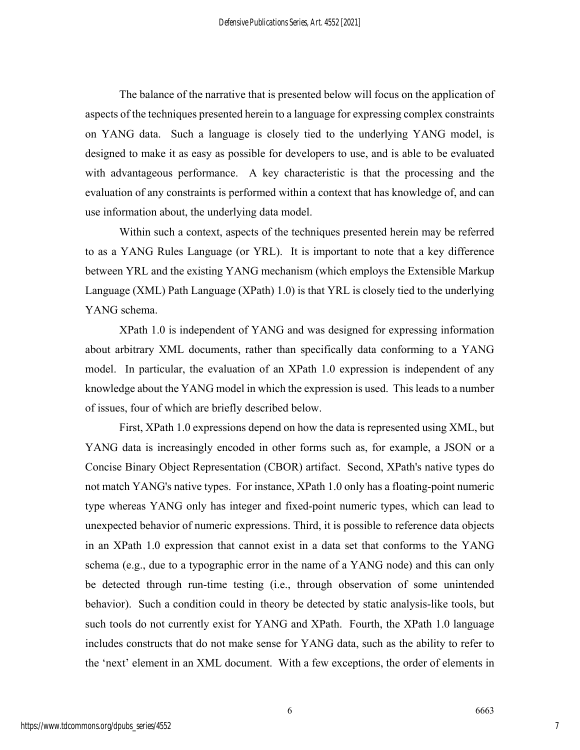The balance of the narrative that is presented below will focus on the application of aspects of the techniques presented herein to a language for expressing complex constraints on YANG data. Such a language is closely tied to the underlying YANG model, is designed to make it as easy as possible for developers to use, and is able to be evaluated with advantageous performance. A key characteristic is that the processing and the evaluation of any constraints is performed within a context that has knowledge of, and can use information about, the underlying data model.

Within such a context, aspects of the techniques presented herein may be referred to as a YANG Rules Language (or YRL). It is important to note that a key difference between YRL and the existing YANG mechanism (which employs the Extensible Markup Language (XML) Path Language (XPath) 1.0) is that YRL is closely tied to the underlying YANG schema.

XPath 1.0 is independent of YANG and was designed for expressing information about arbitrary XML documents, rather than specifically data conforming to a YANG model. In particular, the evaluation of an XPath 1.0 expression is independent of any knowledge about the YANG model in which the expression is used. This leads to a number of issues, four of which are briefly described below.

First, XPath 1.0 expressions depend on how the data is represented using XML, but YANG data is increasingly encoded in other forms such as, for example, a JSON or a Concise Binary Object Representation (CBOR) artifact. Second, XPath's native types do not match YANG's native types. For instance, XPath 1.0 only has a floating-point numeric type whereas YANG only has integer and fixed-point numeric types, which can lead to unexpected behavior of numeric expressions. Third, it is possible to reference data objects in an XPath 1.0 expression that cannot exist in a data set that conforms to the YANG schema (e.g., due to a typographic error in the name of a YANG node) and this can only be detected through run-time testing (i.e., through observation of some unintended behavior). Such a condition could in theory be detected by static analysis-like tools, but such tools do not currently exist for YANG and XPath. Fourth, the XPath 1.0 language includes constructs that do not make sense for YANG data, such as the ability to refer to the 'next' element in an XML document. With a few exceptions, the order of elements in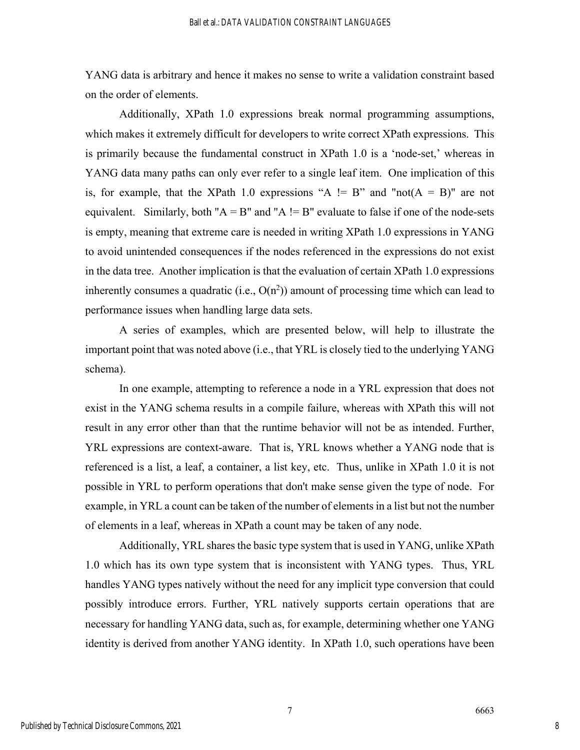YANG data is arbitrary and hence it makes no sense to write a validation constraint based on the order of elements.

Additionally, XPath 1.0 expressions break normal programming assumptions, which makes it extremely difficult for developers to write correct XPath expressions. This is primarily because the fundamental construct in XPath 1.0 is a 'node-set,' whereas in YANG data many paths can only ever refer to a single leaf item. One implication of this is, for example, that the XPath 1.0 expressions "A  $!= B$ " and "not( $A = B$ )" are not equivalent. Similarly, both " $A = B$ " and " $A = B$ " evaluate to false if one of the node-sets is empty, meaning that extreme care is needed in writing XPath 1.0 expressions in YANG to avoid unintended consequences if the nodes referenced in the expressions do not exist in the data tree. Another implication is that the evaluation of certain XPath 1.0 expressions inherently consumes a quadratic (i.e.,  $O(n^2)$ ) amount of processing time which can lead to performance issues when handling large data sets.

A series of examples, which are presented below, will help to illustrate the important point that was noted above (i.e., that YRL is closely tied to the underlying YANG schema).

In one example, attempting to reference a node in a YRL expression that does not exist in the YANG schema results in a compile failure, whereas with XPath this will not result in any error other than that the runtime behavior will not be as intended. Further, YRL expressions are context-aware. That is, YRL knows whether a YANG node that is referenced is a list, a leaf, a container, a list key, etc. Thus, unlike in XPath 1.0 it is not possible in YRL to perform operations that don't make sense given the type of node. For example, in YRL a count can be taken of the number of elements in a list but not the number of elements in a leaf, whereas in XPath a count may be taken of any node.

Additionally, YRL shares the basic type system that is used in YANG, unlike XPath 1.0 which has its own type system that is inconsistent with YANG types. Thus, YRL handles YANG types natively without the need for any implicit type conversion that could possibly introduce errors. Further, YRL natively supports certain operations that are necessary for handling YANG data, such as, for example, determining whether one YANG identity is derived from another YANG identity. In XPath 1.0, such operations have been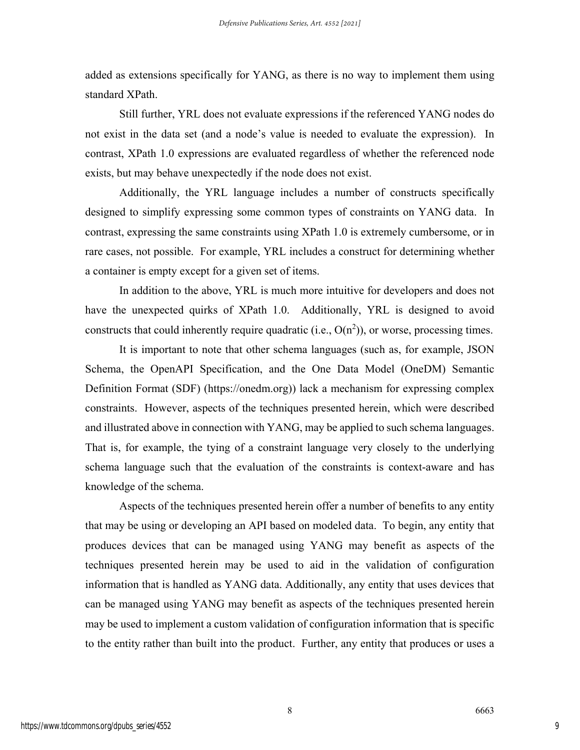added as extensions specifically for YANG, as there is no way to implement them using standard XPath.

Still further, YRL does not evaluate expressions if the referenced YANG nodes do not exist in the data set (and a node's value is needed to evaluate the expression). In contrast, XPath 1.0 expressions are evaluated regardless of whether the referenced node exists, but may behave unexpectedly if the node does not exist.

Additionally, the YRL language includes a number of constructs specifically designed to simplify expressing some common types of constraints on YANG data. In contrast, expressing the same constraints using XPath 1.0 is extremely cumbersome, or in rare cases, not possible. For example, YRL includes a construct for determining whether a container is empty except for a given set of items.

In addition to the above, YRL is much more intuitive for developers and does not have the unexpected quirks of XPath 1.0. Additionally, YRL is designed to avoid constructs that could inherently require quadratic (i.e.,  $O(n^2)$ ), or worse, processing times.

It is important to note that other schema languages (such as, for example, JSON Schema, the OpenAPI Specification, and the One Data Model (OneDM) Semantic Definition Format (SDF) (https://onedm.org)) lack a mechanism for expressing complex constraints. However, aspects of the techniques presented herein, which were described and illustrated above in connection with YANG, may be applied to such schema languages. That is, for example, the tying of a constraint language very closely to the underlying schema language such that the evaluation of the constraints is context-aware and has knowledge of the schema.

Aspects of the techniques presented herein offer a number of benefits to any entity that may be using or developing an API based on modeled data. To begin, any entity that produces devices that can be managed using YANG may benefit as aspects of the techniques presented herein may be used to aid in the validation of configuration information that is handled as YANG data. Additionally, any entity that uses devices that can be managed using YANG may benefit as aspects of the techniques presented herein may be used to implement a custom validation of configuration information that is specific to the entity rather than built into the product. Further, any entity that produces or uses a